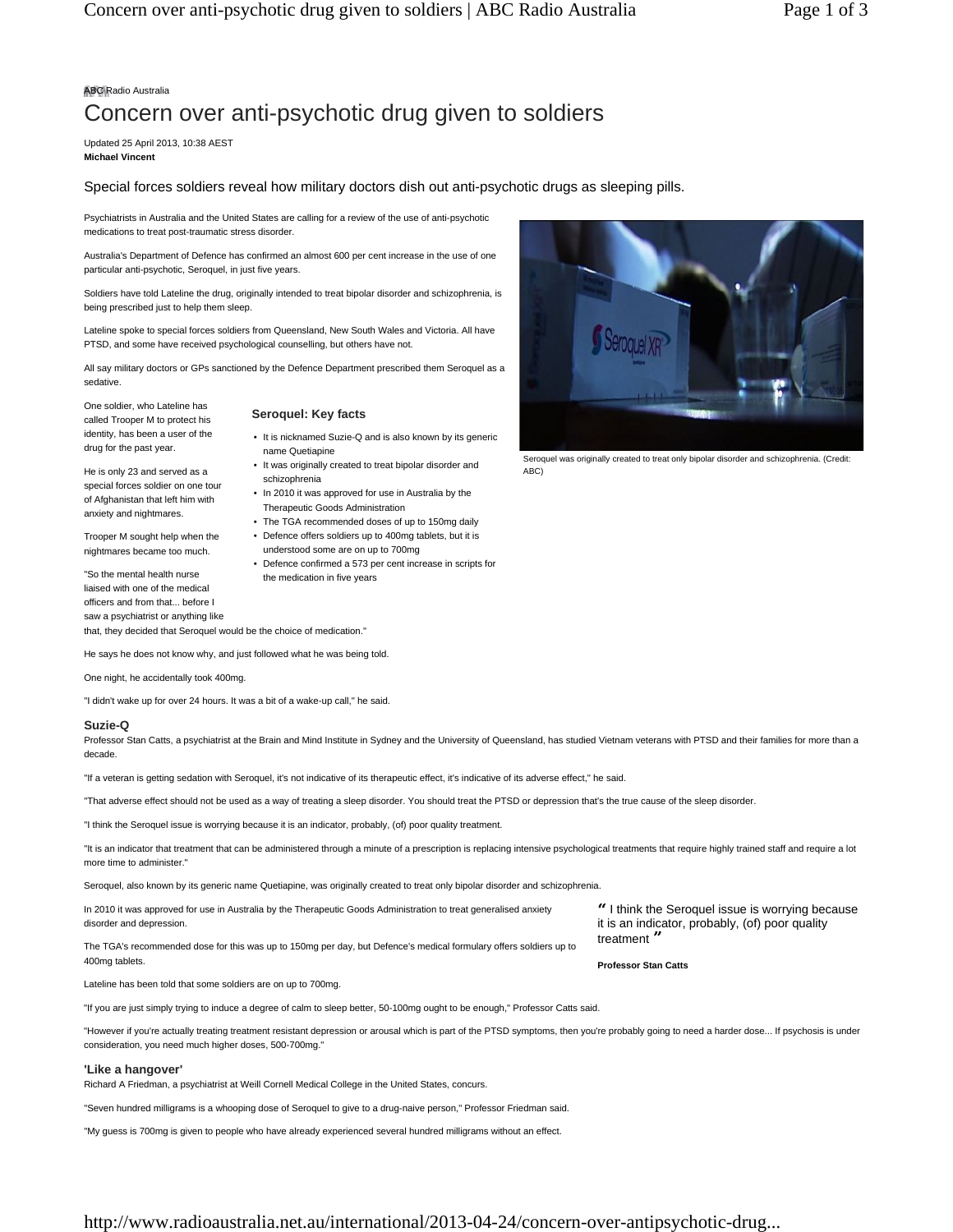# ABC Radio Australia

# Concern over anti-psychotic drug given to soldiers

Updated 25 April 2013, 10:38 AEST **Michael Vincent**

# Special forces soldiers reveal how military doctors dish out anti-psychotic drugs as sleeping pills.

Psychiatrists in Australia and the United States are calling for a review of the use of anti-psychotic medications to treat post-traumatic stress disorder.

Australia's Department of Defence has confirmed an almost 600 per cent increase in the use of one particular anti-psychotic, Seroquel, in just five years.

Soldiers have told Lateline the drug, originally intended to treat bipolar disorder and schizophrenia, is being prescribed just to help them sleep.

Lateline spoke to special forces soldiers from Queensland, New South Wales and Victoria. All have PTSD, and some have received psychological counselling, but others have not.

All say military doctors or GPs sanctioned by the Defence Department prescribed them Seroquel as a sedative.

One soldier, who Lateline has called Trooper M to protect his identity, has been a user of the drug for the past year.

He is only 23 and served as a special forces soldier on one tour of Afghanistan that left him with anxiety and nightmares. Trooper M sought help when the nightmares became too much. "So the mental health nurse

# **Seroquel: Key facts**

the medication in five years

- It is nicknamed Suzie-Q and is also known by its generic name Quetiapine
- It was originally created to treat bipolar disorder and schizophrenia
- In 2010 it was approved for use in Australia by the Therapeutic Goods Administration
- The TGA recommended doses of up to 150mg daily
- Defence offers soldiers up to 400mg tablets, but it is
- understood some are on up to 700mg • Defence confirmed a 573 per cent increase in scripts for
- liaised with one of the medical officers and from that... before I saw a psychiatrist or anything like that, they decided that Seroquel would be the choice of medication."

He says he does not know why, and just followed what he was being told.

One night, he accidentally took 400mg.

"I didn't wake up for over 24 hours. It was a bit of a wake-up call," he said.

# **Suzie-Q**

Professor Stan Catts, a psychiatrist at the Brain and Mind Institute in Sydney and the University of Queensland, has studied Vietnam veterans with PTSD and their families for more than a decade.

"If a veteran is getting sedation with Seroquel, it's not indicative of its therapeutic effect, it's indicative of its adverse effect," he said.

"That adverse effect should not be used as a way of treating a sleep disorder. You should treat the PTSD or depression that's the true cause of the sleep disorder.

"I think the Seroquel issue is worrying because it is an indicator, probably, (of) poor quality treatment.

"It is an indicator that treatment that can be administered through a minute of a prescription is replacing intensive psychological treatments that require highly trained staff and require a lot more time to administer.

Seroquel, also known by its generic name Quetiapine, was originally created to treat only bipolar disorder and schizophrenia.

In 2010 it was approved for use in Australia by the Therapeutic Goods Administration to treat generalised anxiety disorder and depression.

The TGA's recommended dose for this was up to 150mg per day, but Defence's medical formulary offers soldiers up to 400mg tablets.

**"** I think the Seroquel issue is worrying because it is an indicator, probably, (of) poor quality treatment **"**

**Professor Stan Catts**

Lateline has been told that some soldiers are on up to 700mg.

"If you are just simply trying to induce a degree of calm to sleep better, 50-100mg ought to be enough," Professor Catts said.

"However if you're actually treating treatment resistant depression or arousal which is part of the PTSD symptoms, then you're probably going to need a harder dose... If psychosis is under consideration, you need much higher doses, 500-700mg."

### **'Like a hangover'**

Richard A Friedman, a psychiatrist at Weill Cornell Medical College in the United States, concurs.

"Seven hundred milligrams is a whooping dose of Seroquel to give to a drug-naive person," Professor Friedman said.

"My guess is 700mg is given to people who have already experienced several hundred milligrams without an effect.



Seroquel was originally created to treat only bipolar disorder and schizophrenia. (Credit: ABC)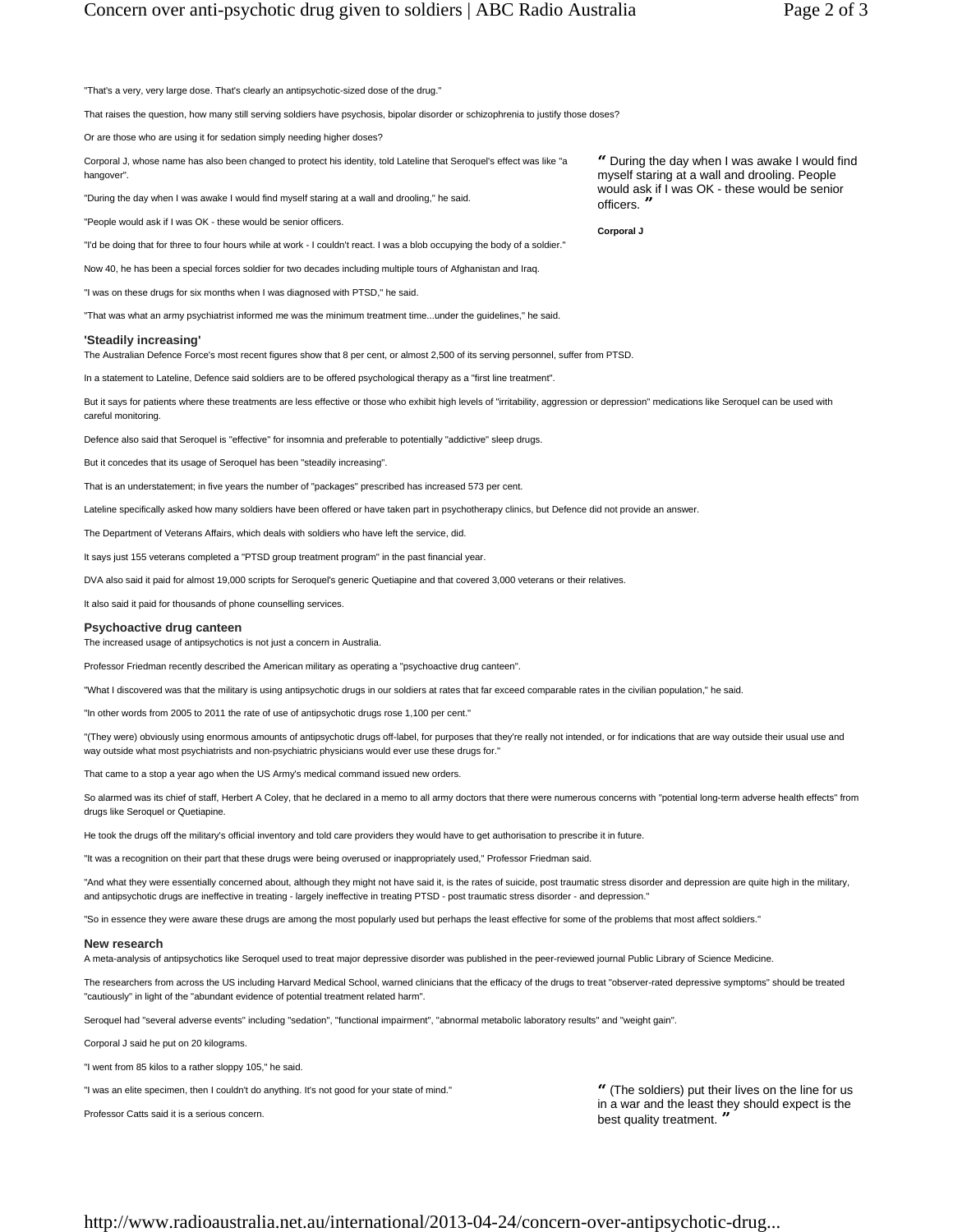"That's a very, very large dose. That's clearly an antipsychotic-sized dose of the drug."

That raises the question, how many still serving soldiers have psychosis, bipolar disorder or schizophrenia to justify those doses?

Or are those who are using it for sedation simply needing higher doses?

Corporal J, whose name has also been changed to protect his identity, told Lateline that Seroquel's effect was like "a hangover".

"During the day when I was awake I would find myself staring at a wall and drooling," he said.

"People would ask if I was OK - these would be senior officers.

"I'd be doing that for three to four hours while at work - I couldn't react. I was a blob occupying the body of a soldier."

Now 40, he has been a special forces soldier for two decades including multiple tours of Afghanistan and Iraq.

"I was on these drugs for six months when I was diagnosed with PTSD," he said.

"That was what an army psychiatrist informed me was the minimum treatment time...under the guidelines," he said.

## **'Steadily increasing'**

The Australian Defence Force's most recent figures show that 8 per cent, or almost 2,500 of its serving personnel, suffer from PTSD.

In a statement to Lateline, Defence said soldiers are to be offered psychological therapy as a "first line treatment".

But it says for patients where these treatments are less effective or those who exhibit high levels of "irritability, aggression or depression" medications like Seroquel can be used with careful monitoring.

Defence also said that Seroquel is "effective" for insomnia and preferable to potentially "addictive" sleep drugs.

But it concedes that its usage of Seroquel has been "steadily increasing".

That is an understatement; in five years the number of "packages" prescribed has increased 573 per cent.

Lateline specifically asked how many soldiers have been offered or have taken part in psychotherapy clinics, but Defence did not provide an answer.

The Department of Veterans Affairs, which deals with soldiers who have left the service, did.

It says just 155 veterans completed a "PTSD group treatment program" in the past financial year.

DVA also said it paid for almost 19,000 scripts for Seroquel's generic Quetiapine and that covered 3,000 veterans or their relatives.

It also said it paid for thousands of phone counselling services.

#### **Psychoactive drug canteen**

The increased usage of antipsychotics is not just a concern in Australia.

Professor Friedman recently described the American military as operating a "psychoactive drug canteen".

"What I discovered was that the military is using antipsychotic drugs in our soldiers at rates that far exceed comparable rates in the civilian population," he said.

"In other words from 2005 to 2011 the rate of use of antipsychotic drugs rose 1,100 per cent."

"(They were) obviously using enormous amounts of antipsychotic drugs off-label, for purposes that they're really not intended, or for indications that are way outside their usual use and way outside what most psychiatrists and non-psychiatric physicians would ever use these drugs for."

That came to a stop a year ago when the US Army's medical command issued new orders.

So alarmed was its chief of staff, Herbert A Coley, that he declared in a memo to all army doctors that there were numerous concerns with "potential long-term adverse health effects" from drugs like Seroquel or Quetiapine.

He took the drugs off the military's official inventory and told care providers they would have to get authorisation to prescribe it in future.

"It was a recognition on their part that these drugs were being overused or inappropriately used," Professor Friedman said.

"And what they were essentially concerned about, although they might not have said it, is the rates of suicide, post traumatic stress disorder and depression are quite high in the military, and antipsychotic drugs are ineffective in treating - largely ineffective in treating PTSD - post traumatic stress disorder - and depression."

"So in essence they were aware these drugs are among the most popularly used but perhaps the least effective for some of the problems that most affect soldiers."

#### **New research**

A meta-analysis of antipsychotics like Seroquel used to treat major depressive disorder was published in the peer-reviewed journal Public Library of Science Medicine.

The researchers from across the US including Harvard Medical School, warned clinicians that the efficacy of the drugs to treat "observer-rated depressive symptoms" should be treated "cautiously" in light of the "abundant evidence of potential treatment related harm".

Seroquel had "several adverse events" including "sedation", "functional impairment", "abnormal metabolic laboratory results" and "weight gain".

Corporal J said he put on 20 kilograms.

"I went from 85 kilos to a rather sloppy 105," he said.

"I was an elite specimen, then I couldn't do anything. It's not good for your state of mind."

Professor Catts said it is a serious concern.

**"** (The soldiers) put their lives on the line for us in a war and the least they should expect is the best quality treatment. **"**

**"** During the day when I was awake I would find myself staring at a wall and drooling. People would ask if I was OK - these would be senior  $officers.$ 

**Corporal J**